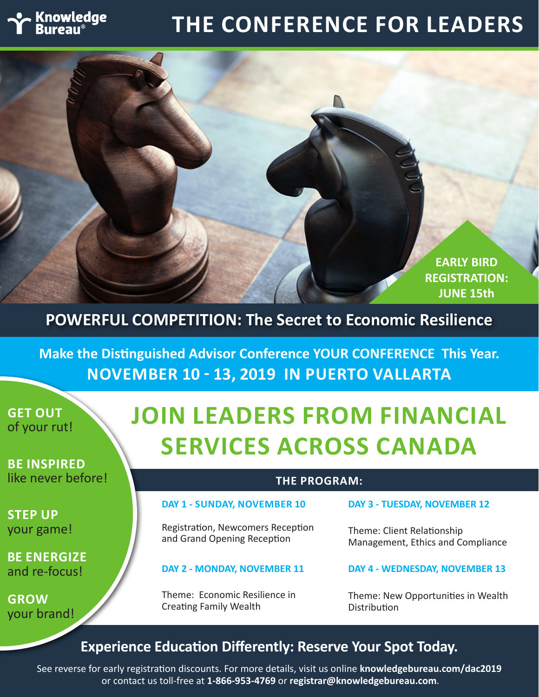# **Knowledge**

# **THE CONFERENCE FOR LEADERS**



**POWERFUL COMPETITION: The Secret to Economic Resilience**

**Make the Distinguished Advisor Conference YOUR CONFERENCE This Year. NOVEMBER 10 - 13, 2019 IN PUERTO VALLARTA**

**GET OUT** of your rut!

**BE INSPIRED** like never before!

**STEP UP** your game!

**BE ENERGIZE** and re-focus!

**GROW** your brand!

# **JOIN LEADERS FROM FINANCIAL SERVICES ACROSS CANADA**

### **THE PROGRAM:**

### **DAY 1 - SUNDAY, NOVEMBER 10**

Registration, Newcomers Reception and Grand Opening Reception

#### **DAY 2 - MONDAY, NOVEMBER 11**

Theme: Economic Resilience in Creating Family Wealth

#### **DAY 3 - TUESDAY, NOVEMBER 12**

Theme: Client Relationship Management, Ethics and Compliance

#### **DAY 4 - WEDNESDAY, NOVEMBER 13**

Theme: New Opportunities in Wealth Distribution

# **Experience Education Differently: Reserve Your Spot Today.**

See reverse for early registration discounts. For more details, visit us online **knowledgebureau.com/dac2019** or contact us toll-free at **1-866-953-4769** or **registrar@knowledgebureau.com**.